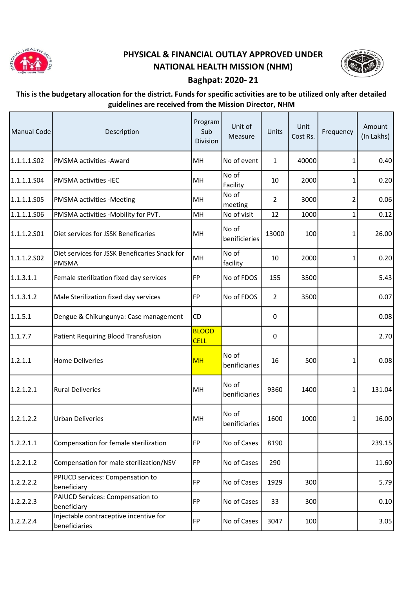

## PHYSICAL & FINANCIAL OUTLAY APPROVED UNDER NATIONAL HEALTH MISSION (NHM)



## Baghpat: 2020- 21

## This is the budgetary allocation for the district. Funds for specific activities are to be utilized only after detailed guidelines are received from the Mission Director, NHM

| <b>Manual Code</b> | Description                                                   | Program<br>Sub<br>Division  | Unit of<br>Measure     | Units          | Unit<br>Cost Rs. | Frequency | Amount<br>(In Lakhs) |
|--------------------|---------------------------------------------------------------|-----------------------------|------------------------|----------------|------------------|-----------|----------------------|
| 1.1.1.1.502        | PMSMA activities - Award                                      | MH                          | No of event            | 1              | 40000            | 1         | 0.40                 |
| 1.1.1.1.504        | PMSMA activities -IEC                                         | MH                          | No of<br>Facility      | 10             | 2000             | 1         | 0.20                 |
| 1.1.1.1.505        | PMSMA activities -Meeting                                     | MH                          | No of<br>meeting       | $\overline{2}$ | 3000             | 2         | 0.06                 |
| 1.1.1.1.506        | PMSMA activities -Mobility for PVT.                           | MH                          | No of visit            | 12             | 1000             | 1         | 0.12                 |
| 1.1.1.2.501        | Diet services for JSSK Beneficaries                           | MH                          | No of<br>benificieries | 13000          | 100              | 1         | 26.00                |
| 1.1.1.2.502        | Diet services for JSSK Beneficaries Snack for<br><b>PMSMA</b> | MH                          | No of<br>facility      | 10             | 2000             | 1         | 0.20                 |
| 1.1.3.1.1          | Female sterilization fixed day services                       | FP                          | No of FDOS             | 155            | 3500             |           | 5.43                 |
| 1.1.3.1.2          | Male Sterilization fixed day services                         | FP                          | No of FDOS             | $\overline{2}$ | 3500             |           | 0.07                 |
| 1.1.5.1            | Dengue & Chikungunya: Case management                         | CD                          |                        | 0              |                  |           | 0.08                 |
| 1.1.7.7            | <b>Patient Requiring Blood Transfusion</b>                    | <b>BLOOD</b><br><b>CELL</b> |                        | $\pmb{0}$      |                  |           | 2.70                 |
| 1.2.1.1            | <b>Home Deliveries</b>                                        | <b>MH</b>                   | No of<br>benificiaries | 16             | 500              | 1         | 0.08                 |
| 1.2.1.2.1          | <b>Rural Deliveries</b>                                       | MH                          | No of<br>benificiaries | 9360           | 1400             | 1         | 131.04               |
| 1.2.1.2.2          | <b>Urban Deliveries</b>                                       | MH                          | No of<br>benificiaries | 1600           | 1000             | 1         | 16.00                |
| 1.2.2.1.1          | Compensation for female sterilization                         | <b>FP</b>                   | No of Cases            | 8190           |                  |           | 239.15               |
| 1.2.2.1.2          | Compensation for male sterilization/NSV                       | <b>FP</b>                   | No of Cases            | 290            |                  |           | 11.60                |
| 1.2.2.2.2          | PPIUCD services: Compensation to<br>beneficiary               | <b>FP</b>                   | No of Cases            | 1929           | 300              |           | 5.79                 |
| 1.2.2.2.3          | PAIUCD Services: Compensation to<br>beneficiary               | <b>FP</b>                   | No of Cases            | 33             | 300              |           | 0.10                 |
| 1.2.2.2.4          | Injectable contraceptive incentive for<br>beneficiaries       | <b>FP</b>                   | No of Cases            | 3047           | 100              |           | 3.05                 |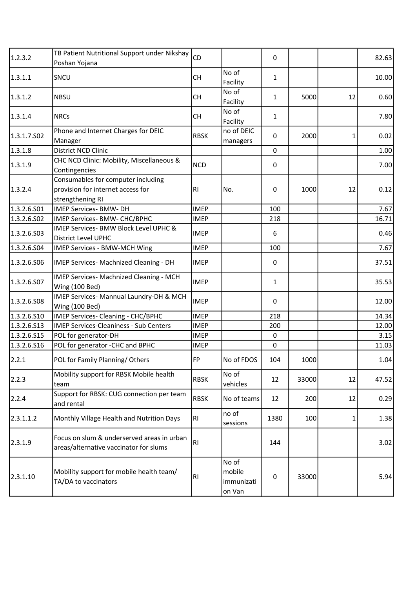| 1.2.3.2     | TB Patient Nutritional Support under Nikshay<br>Poshan Yojana                               | <b>CD</b>      |                                         | 0            |       |    | 82.63 |
|-------------|---------------------------------------------------------------------------------------------|----------------|-----------------------------------------|--------------|-------|----|-------|
| 1.3.1.1     | SNCU                                                                                        | <b>CH</b>      | No of<br>Facility                       | $\mathbf{1}$ |       |    | 10.00 |
| 1.3.1.2     | <b>NBSU</b>                                                                                 | <b>CH</b>      | No of<br>Facility                       | $\mathbf{1}$ | 5000  | 12 | 0.60  |
| 1.3.1.4     | <b>NRCs</b>                                                                                 | <b>CH</b>      | No of<br>Facility                       | $\mathbf{1}$ |       |    | 7.80  |
| 1.3.1.7.502 | Phone and Internet Charges for DEIC<br>Manager                                              | <b>RBSK</b>    | no of DEIC<br>managers                  | 0            | 2000  | 1  | 0.02  |
| 1.3.1.8     | District NCD Clinic                                                                         |                |                                         | $\mathbf 0$  |       |    | 1.00  |
| 1.3.1.9     | CHC NCD Clinic: Mobility, Miscellaneous &<br>Contingencies                                  | <b>NCD</b>     |                                         | 0            |       |    | 7.00  |
| 1.3.2.4     | Consumables for computer including<br>provision for internet access for<br>strengthening RI | <b>RI</b>      | No.                                     | 0            | 1000  | 12 | 0.12  |
| 1.3.2.6.501 | <b>IMEP Services- BMW- DH</b>                                                               | <b>IMEP</b>    |                                         | 100          |       |    | 7.67  |
| 1.3.2.6.502 | IMEP Services- BMW- CHC/BPHC                                                                | <b>IMEP</b>    |                                         | 218          |       |    | 16.71 |
| 1.3.2.6.503 | IMEP Services- BMW Block Level UPHC &<br>District Level UPHC                                | <b>IMEP</b>    |                                         | 6            |       |    | 0.46  |
| 1.3.2.6.504 | IMEP Services - BMW-MCH Wing                                                                | <b>IMEP</b>    |                                         | 100          |       |    | 7.67  |
| 1.3.2.6.506 | IMEP Services- Machnized Cleaning - DH                                                      | <b>IMEP</b>    |                                         | 0            |       |    | 37.51 |
| 1.3.2.6.507 | IMEP Services- Machnized Cleaning - MCH<br>Wing (100 Bed)                                   | <b>IMEP</b>    |                                         | $\mathbf{1}$ |       |    | 35.53 |
| 1.3.2.6.508 | IMEP Services- Mannual Laundry-DH & MCH<br>Wing (100 Bed)                                   | <b>IMEP</b>    |                                         | 0            |       |    | 12.00 |
| 1.3.2.6.510 | IMEP Services- Cleaning - CHC/BPHC                                                          | <b>IMEP</b>    |                                         | 218          |       |    | 14.34 |
| 1.3.2.6.513 | <b>IMEP Services-Cleaniness - Sub Centers</b>                                               | <b>IMEP</b>    |                                         | 200          |       |    | 12.00 |
| 1.3.2.6.S15 | POL for generator-DH                                                                        | <b>IMEP</b>    |                                         | $\mathbf 0$  |       |    | 3.15  |
| 1.3.2.6.S16 | POL for generator - CHC and BPHC                                                            | <b>IMEP</b>    |                                         | $\mathbf 0$  |       |    | 11.03 |
| 2.2.1       | POL for Family Planning/Others                                                              | FP             | No of FDOS                              | 104          | 1000  |    | 1.04  |
| 2.2.3       | Mobility support for RBSK Mobile health<br>team                                             | <b>RBSK</b>    | No of<br>vehicles                       | 12           | 33000 | 12 | 47.52 |
| 2.2.4       | Support for RBSK: CUG connection per team<br>and rental                                     | <b>RBSK</b>    | No of teams                             | 12           | 200   | 12 | 0.29  |
| 2.3.1.1.2   | Monthly Village Health and Nutrition Days                                                   | RI             | no of<br>sessions                       | 1380         | 100   | 1  | 1.38  |
| 2.3.1.9     | Focus on slum & underserved areas in urban<br>areas/alternative vaccinator for slums        | R <sub>1</sub> |                                         | 144          |       |    | 3.02  |
| 2.3.1.10    | Mobility support for mobile health team/<br>TA/DA to vaccinators                            | RI             | No of<br>mobile<br>immunizati<br>on Van | 0            | 33000 |    | 5.94  |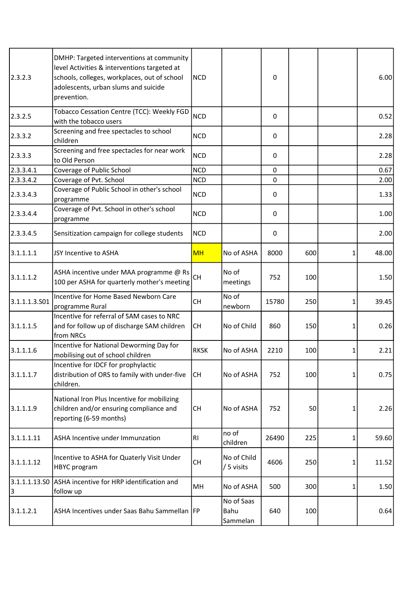| 2.3.2.3            | DMHP: Targeted interventions at community<br>level Activities & interventions targeted at<br>schools, colleges, workplaces, out of school<br>adolescents, urban slums and suicide<br>prevention. | <b>NCD</b>  |                                | 0           |     |   | 6.00  |
|--------------------|--------------------------------------------------------------------------------------------------------------------------------------------------------------------------------------------------|-------------|--------------------------------|-------------|-----|---|-------|
| 2.3.2.5            | Tobacco Cessation Centre (TCC): Weekly FGD<br>with the tobacco users                                                                                                                             | <b>NCD</b>  |                                | 0           |     |   | 0.52  |
| 2.3.3.2            | Screening and free spectacles to school<br>children                                                                                                                                              | <b>NCD</b>  |                                | 0           |     |   | 2.28  |
| 2.3.3.3            | Screening and free spectacles for near work<br>to Old Person                                                                                                                                     | <b>NCD</b>  |                                | 0           |     |   | 2.28  |
| 2.3.3.4.1          | Coverage of Public School                                                                                                                                                                        | <b>NCD</b>  |                                | $\mathbf 0$ |     |   | 0.67  |
| 2.3.3.4.2          | Coverage of Pvt. School                                                                                                                                                                          | <b>NCD</b>  |                                | $\mathbf 0$ |     |   | 2.00  |
| 2.3.3.4.3          | Coverage of Public School in other's school<br>programme                                                                                                                                         | <b>NCD</b>  |                                | 0           |     |   | 1.33  |
| 2.3.3.4.4          | Coverage of Pvt. School in other's school<br>programme                                                                                                                                           | <b>NCD</b>  |                                | 0           |     |   | 1.00  |
| 2.3.3.4.5          | Sensitization campaign for college students                                                                                                                                                      | <b>NCD</b>  |                                | 0           |     |   | 2.00  |
| 3.1.1.1.1          | JSY Incentive to ASHA                                                                                                                                                                            | <b>MH</b>   | No of ASHA                     | 8000        | 600 | 1 | 48.00 |
| 3.1.1.1.2          | ASHA incentive under MAA programme @ Rs<br>100 per ASHA for quarterly mother's meeting                                                                                                           | <b>CH</b>   | No of<br>meetings              | 752         | 100 |   | 1.50  |
| 3.1.1.1.3.501      | Incentive for Home Based Newborn Care<br>programme Rural                                                                                                                                         | <b>CH</b>   | No of<br>newborn               | 15780       | 250 | 1 | 39.45 |
| 3.1.1.1.5          | Incentive for referral of SAM cases to NRC<br>and for follow up of discharge SAM children<br>from NRCs                                                                                           | <b>CH</b>   | No of Child                    | 860         | 150 | 1 | 0.26  |
| 3.1.1.1.6          | Incentive for National Deworming Day for<br>mobilising out of school children                                                                                                                    | <b>RKSK</b> | No of ASHA                     | 2210        | 100 | 1 | 2.21  |
| 3.1.1.1.7          | Incentive for IDCF for prophylactic<br>distribution of ORS to family with under-five<br>children.                                                                                                | lсн         | No of ASHA                     | 752         | 100 | 1 | 0.75  |
| 3.1.1.1.9          | National Iron Plus Incentive for mobilizing<br>children and/or ensuring compliance and<br>reporting (6-59 months)                                                                                | <b>CH</b>   | No of ASHA                     | 752         | 50  |   | 2.26  |
| 3.1.1.1.11         | ASHA Incentive under Immunzation                                                                                                                                                                 | RI          | no of<br>children              | 26490       | 225 |   | 59.60 |
| 3.1.1.1.12         | Incentive to ASHA for Quaterly Visit Under<br>HBYC program                                                                                                                                       | <b>CH</b>   | No of Child<br>/ 5 visits      | 4606        | 250 | 1 | 11.52 |
| 3.1.1.1.13.50<br>3 | ASHA incentive for HRP identification and<br>follow up                                                                                                                                           | MH          | No of ASHA                     | 500         | 300 | 1 | 1.50  |
| 3.1.1.2.1          | ASHA Incentives under Saas Bahu Sammellan   FP                                                                                                                                                   |             | No of Saas<br>Bahu<br>Sammelan | 640         | 100 |   | 0.64  |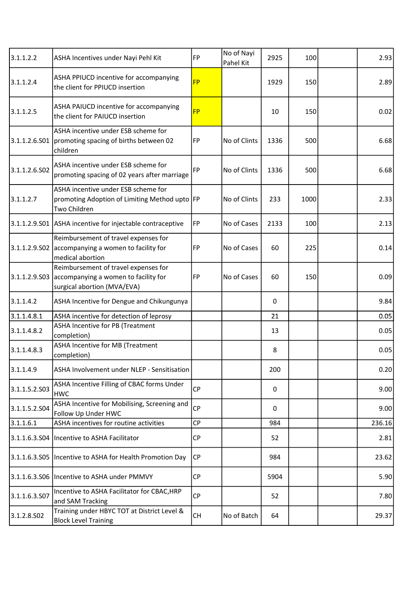| 3.1.1.2.2     | ASHA Incentives under Nayi Pehl Kit                                                                         | <b>FP</b> | No of Nayi<br>Pahel Kit | 2925 | 100  | 2.93   |
|---------------|-------------------------------------------------------------------------------------------------------------|-----------|-------------------------|------|------|--------|
| 3.1.1.2.4     | ASHA PPIUCD incentive for accompanying<br>the client for PPIUCD insertion                                   | <b>FP</b> |                         | 1929 | 150  | 2.89   |
| 3.1.1.2.5     | ASHA PAIUCD incentive for accompanying<br>the client for PAIUCD insertion                                   | <b>FP</b> |                         | 10   | 150  | 0.02   |
| 3.1.1.2.6.501 | ASHA incentive under ESB scheme for<br>promoting spacing of births between 02<br>children                   | FP        | No of Clints            | 1336 | 500  | 6.68   |
| 3.1.1.2.6.502 | ASHA incentive under ESB scheme for<br>promoting spacing of 02 years after marriage                         | <b>FP</b> | No of Clints            | 1336 | 500  | 6.68   |
| 3.1.1.2.7     | ASHA incentive under ESB scheme for<br>promoting Adoption of Limiting Method upto FP<br>Two Children        |           | No of Clints            | 233  | 1000 | 2.33   |
|               | 3.1.1.2.9.S01 ASHA incentive for injectable contraceptive                                                   | FP        | No of Cases             | 2133 | 100  | 2.13   |
| 3.1.1.2.9.502 | Reimbursement of travel expenses for<br>accompanying a women to facility for<br>medical abortion            | FP        | No of Cases             | 60   | 225  | 0.14   |
| 3.1.1.2.9.503 | Reimbursement of travel expenses for<br>accompanying a women to facility for<br>surgical abortion (MVA/EVA) | <b>FP</b> | No of Cases             | 60   | 150  | 0.09   |
| 3.1.1.4.2     | ASHA Incentive for Dengue and Chikungunya                                                                   |           |                         | 0    |      | 9.84   |
| 3.1.1.4.8.1   | ASHA incentive for detection of leprosy                                                                     |           |                         | 21   |      | 0.05   |
| 3.1.1.4.8.2   | ASHA Incentive for PB (Treatment<br>completion)                                                             |           |                         | 13   |      | 0.05   |
| 3.1.1.4.8.3   | ASHA Incentive for MB (Treatment<br>completion)                                                             |           |                         | 8    |      | 0.05   |
| 3.1.1.4.9     | ASHA Involvement under NLEP - Sensitisation                                                                 |           |                         | 200  |      | 0.20   |
| 3.1.1.5.2.503 | ASHA Incentive Filling of CBAC forms Under<br><b>HWC</b>                                                    | <b>CP</b> |                         | 0    |      | 9.00   |
| 3.1.1.5.2.S04 | ASHA Incentive for Mobilising, Screening and<br>Follow Up Under HWC                                         | <b>CP</b> |                         | 0    |      | 9.00   |
| 3.1.1.6.1     | ASHA incentives for routine activities                                                                      | <b>CP</b> |                         | 984  |      | 236.16 |
| 3.1.1.6.3.504 | Incentive to ASHA Facilitator                                                                               | <b>CP</b> |                         | 52   |      | 2.81   |
|               | 3.1.1.6.3.S05   Incentive to ASHA for Health Promotion Day                                                  | <b>CP</b> |                         | 984  |      | 23.62  |
| 3.1.1.6.3.506 | Incentive to ASHA under PMMVY                                                                               | <b>CP</b> |                         | 5904 |      | 5.90   |
| 3.1.1.6.3.507 | Incentive to ASHA Facilitator for CBAC, HRP<br>and SAM Tracking                                             | <b>CP</b> |                         | 52   |      | 7.80   |
| 3.1.2.8.502   | Training under HBYC TOT at District Level &<br><b>Block Level Training</b>                                  | CH        | No of Batch             | 64   |      | 29.37  |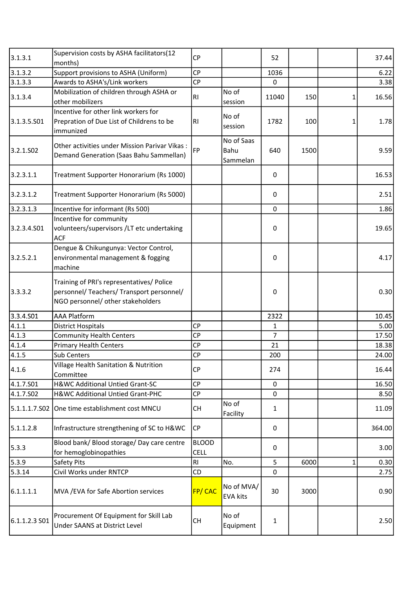| 3.1.3.1               | Supervision costs by ASHA facilitators(12<br>months)                                                                        | <b>CP</b>                   |                                | 52             |      |   | 37.44  |
|-----------------------|-----------------------------------------------------------------------------------------------------------------------------|-----------------------------|--------------------------------|----------------|------|---|--------|
| 3.1.3.2               | Support provisions to ASHA (Uniform)                                                                                        | <b>CP</b>                   |                                | 1036           |      |   | 6.22   |
| 3.1.3.3               | Awards to ASHA's/Link workers                                                                                               | CP                          |                                | 0              |      |   | 3.38   |
| 3.1.3.4               | Mobilization of children through ASHA or<br>other mobilizers                                                                | RI                          | No of<br>session               | 11040          | 150  | 1 | 16.56  |
| 3.1.3.5.501           | Incentive for other link workers for<br>Prepration of Due List of Childrens to be<br>immunized                              | <b>RI</b>                   | No of<br>session               | 1782           | 100  | 1 | 1.78   |
| 3.2.1.SO <sub>2</sub> | Other activities under Mission Parivar Vikas:<br>Demand Generation (Saas Bahu Sammellan)                                    | FP                          | No of Saas<br>Bahu<br>Sammelan | 640            | 1500 |   | 9.59   |
| 3.2.3.1.1             | Treatment Supporter Honorarium (Rs 1000)                                                                                    |                             |                                | 0              |      |   | 16.53  |
| 3.2.3.1.2             | Treatment Supporter Honorarium (Rs 5000)                                                                                    |                             |                                | $\mathbf 0$    |      |   | 2.51   |
| 3.2.3.1.3             | Incentive for informant (Rs 500)                                                                                            |                             |                                | $\mathbf 0$    |      |   | 1.86   |
| 3.2.3.4.S01           | Incentive for community<br>volunteers/supervisors /LT etc undertaking<br><b>ACF</b>                                         |                             |                                | 0              |      |   | 19.65  |
| 3.2.5.2.1             | Dengue & Chikungunya: Vector Control,<br>environmental management & fogging<br>machine                                      |                             |                                | 0              |      |   | 4.17   |
| 3.3.3.2               | Training of PRI's representatives/ Police<br>personnel/ Teachers/ Transport personnel/<br>NGO personnel/ other stakeholders |                             |                                | 0              |      |   | 0.30   |
| 3.3.4.501             | <b>AAA Platform</b>                                                                                                         |                             |                                | 2322           |      |   | 10.45  |
| 4.1.1                 | <b>District Hospitals</b>                                                                                                   | <b>CP</b>                   |                                | $\mathbf{1}$   |      |   | 5.00   |
| 4.1.3                 | <b>Community Health Centers</b>                                                                                             | <b>CP</b>                   |                                | $\overline{7}$ |      |   | 17.50  |
| 4.1.4                 | <b>Primary Health Centers</b>                                                                                               | CP                          |                                | 21             |      |   | 18.38  |
| 4.1.5                 | Sub Centers                                                                                                                 | <b>CP</b>                   |                                | 200            |      |   | 24.00  |
| 4.1.6                 | Village Health Sanitation & Nutrition<br>Committee                                                                          | <b>CP</b>                   |                                | 274            |      |   | 16.44  |
| 4.1.7.S01             | H&WC Additional Untied Grant-SC                                                                                             | <b>CP</b>                   |                                | 0              |      |   | 16.50  |
| 4.1.7.S02             | H&WC Additional Untied Grant-PHC                                                                                            | <b>CP</b>                   |                                | $\mathbf 0$    |      |   | 8.50   |
| 5.1.1.1.7.502         | One time establishment cost MNCU                                                                                            | CH                          | No of<br>Facility              | 1              |      |   | 11.09  |
| 5.1.1.2.8             | Infrastructure strengthening of SC to H&WC                                                                                  | CP                          |                                | 0              |      |   | 364.00 |
| 5.3.3                 | Blood bank/ Blood storage/ Day care centre<br>for hemoglobinopathies                                                        | <b>BLOOD</b><br><b>CELL</b> |                                | 0              |      |   | 3.00   |
| 5.3.9                 | Safety Pits                                                                                                                 | <b>RI</b>                   | No.                            | 5              | 6000 | 1 | 0.30   |
| 5.3.14                | Civil Works under RNTCP                                                                                                     | CD                          |                                | 0              |      |   | 2.75   |
| 6.1.1.1.1             | MVA / EVA for Safe Abortion services                                                                                        | FP/CAC                      | No of MVA/<br><b>EVA kits</b>  | 30             | 3000 |   | 0.90   |
| 6.1.1.2.3 SO1         | Procurement Of Equipment for Skill Lab<br><b>Under SAANS at District Level</b>                                              | <b>CH</b>                   | No of<br>Equipment             | $\mathbf{1}$   |      |   | 2.50   |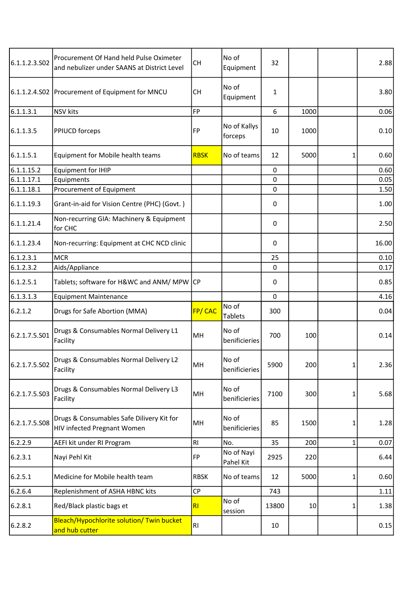| 6.1.1.2.3.S02 | Procurement Of Hand held Pulse Oximeter<br>and nebulizer under SAANS at District Level | <b>CH</b>   | No of<br>Equipment      | 32           |      |   | 2.88  |
|---------------|----------------------------------------------------------------------------------------|-------------|-------------------------|--------------|------|---|-------|
|               | 6.1.1.2.4.S02   Procurement of Equipment for MNCU                                      | <b>CH</b>   | No of<br>Equipment      | $\mathbf{1}$ |      |   | 3.80  |
| 6.1.1.3.1     | <b>NSV</b> kits                                                                        | FP          |                         | 6            | 1000 |   | 0.06  |
| 6.1.1.3.5     | PPIUCD forceps                                                                         | <b>FP</b>   | No of Kallys<br>forceps | 10           | 1000 |   | 0.10  |
| 6.1.1.5.1     | Equipment for Mobile health teams                                                      | <b>RBSK</b> | No of teams             | 12           | 5000 |   | 0.60  |
| 6.1.1.15.2    | <b>Equipment for IHIP</b>                                                              |             |                         | 0            |      |   | 0.60  |
| 6.1.1.17.1    | Equipments                                                                             |             |                         | 0            |      |   | 0.05  |
| 6.1.1.18.1    | Procurement of Equipment                                                               |             |                         | 0            |      |   | 1.50  |
| 6.1.1.19.3    | Grant-in-aid for Vision Centre (PHC) (Govt.)                                           |             |                         | 0            |      |   | 1.00  |
| 6.1.1.21.4    | Non-recurring GIA: Machinery & Equipment<br>for CHC                                    |             |                         | $\mathbf 0$  |      |   | 2.50  |
| 6.1.1.23.4    | Non-recurring: Equipment at CHC NCD clinic                                             |             |                         | 0            |      |   | 16.00 |
| 6.1.2.3.1     | <b>MCR</b>                                                                             |             |                         | 25           |      |   | 0.10  |
| 6.1.2.3.2     | Aids/Appliance                                                                         |             |                         | 0            |      |   | 0.17  |
| 6.1.2.5.1     | Tablets; software for H&WC and ANM/ MPW CP                                             |             |                         | 0            |      |   | 0.85  |
| 6.1.3.1.3     | <b>Equipment Maintenance</b>                                                           |             |                         | 0            |      |   | 4.16  |
| 6.2.1.2       | Drugs for Safe Abortion (MMA)                                                          | FP/CAC      | No of<br><b>Tablets</b> | 300          |      |   | 0.04  |
| 6.2.1.7.5.501 | Drugs & Consumables Normal Delivery L1<br>Facility                                     | MH          | No of<br>benificieries  | 700          | 100  |   | 0.14  |
| 6.2.1.7.5.S02 | Drugs & Consumables Normal Delivery L2<br>Facility                                     | MH          | No of<br>benificieries  | 5900         | 200  | 1 | 2.36  |
| 6.2.1.7.5.S03 | Drugs & Consumables Normal Delivery L3<br>Facility                                     | MH          | No of<br>benificieries  | 7100         | 300  | 1 | 5.68  |
| 6.2.1.7.5.S08 | Drugs & Consumables Safe Dilivery Kit for<br><b>HIV infected Pregnant Women</b>        | MH          | No of<br>benificieries  | 85           | 1500 |   | 1.28  |
| 6.2.2.9       | AEFI kit under RI Program                                                              | RI          | No.                     | 35           | 200  | 1 | 0.07  |
| 6.2.3.1       | Nayi Pehl Kit                                                                          | <b>FP</b>   | No of Nayi<br>Pahel Kit | 2925         | 220  |   | 6.44  |
| 6.2.5.1       | Medicine for Mobile health team                                                        | <b>RBSK</b> | No of teams             | 12           | 5000 | 1 | 0.60  |
| 6.2.6.4       | Replenishment of ASHA HBNC kits                                                        | <b>CP</b>   |                         | 743          |      |   | 1.11  |
| 6.2.8.1       | Red/Black plastic bags et                                                              | RI          | No of<br>session        | 13800        | 10   | 1 | 1.38  |
| 6.2.8.2       | Bleach/Hypochlorite solution/ Twin bucket<br>and hub cutter                            | RI          |                         | 10           |      |   | 0.15  |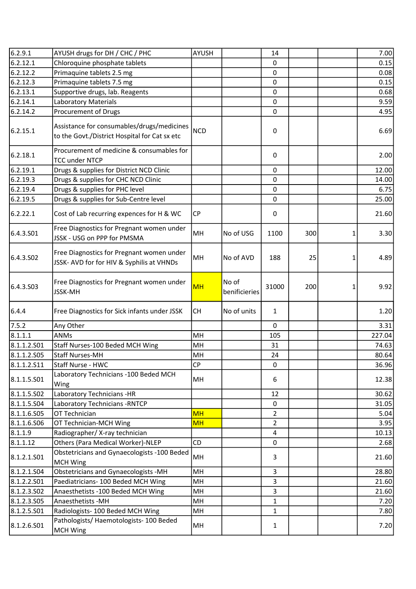| 6.2.9.1     | AYUSH drugs for DH / CHC / PHC                                                              | AYUSH      |                        | 14             |     |          | 7.00   |
|-------------|---------------------------------------------------------------------------------------------|------------|------------------------|----------------|-----|----------|--------|
| 6.2.12.1    | Chloroquine phosphate tablets                                                               |            |                        | $\mathbf{0}$   |     |          | 0.15   |
| 6.2.12.2    | Primaquine tablets 2.5 mg                                                                   |            |                        | $\mathbf 0$    |     |          | 0.08   |
| 6.2.12.3    | Primaquine tablets 7.5 mg                                                                   |            |                        | 0              |     |          | 0.15   |
| 6.2.13.1    | Supportive drugs, lab. Reagents                                                             |            |                        | $\pmb{0}$      |     |          | 0.68   |
| 6.2.14.1    | <b>Laboratory Materials</b>                                                                 |            |                        | $\pmb{0}$      |     |          | 9.59   |
| 6.2.14.2    | Procurement of Drugs                                                                        |            |                        | 0              |     |          | 4.95   |
| 6.2.15.1    | Assistance for consumables/drugs/medicines<br>to the Govt./District Hospital for Cat sx etc | <b>NCD</b> |                        | 0              |     |          | 6.69   |
| 6.2.18.1    | Procurement of medicine & consumables for<br><b>TCC under NTCP</b>                          |            |                        | 0              |     |          | 2.00   |
| 6.2.19.1    | Drugs & supplies for District NCD Clinic                                                    |            |                        | 0              |     |          | 12.00  |
| 6.2.19.3    | Drugs & supplies for CHC NCD Clinic                                                         |            |                        | 0              |     |          | 14.00  |
| 6.2.19.4    | Drugs & supplies for PHC level                                                              |            |                        | 0              |     |          | 6.75   |
| 6.2.19.5    | Drugs & supplies for Sub-Centre level                                                       |            |                        | 0              |     |          | 25.00  |
| 6.2.22.1    | Cost of Lab recurring expences for H & WC                                                   | <b>CP</b>  |                        | 0              |     |          | 21.60  |
| 6.4.3.501   | Free Diagnostics for Pregnant women under<br>JSSK - USG on PPP for PMSMA                    | MH         | No of USG              | 1100           | 300 | $1\vert$ | 3.30   |
| 6.4.3.502   | Free Diagnostics for Pregnant women under<br>JSSK- AVD for for HIV & Syphilis at VHNDs      | MH         | No of AVD              | 188            | 25  | 1        | 4.89   |
| 6.4.3.503   | Free Diagnostics for Pregnant women under<br>JSSK-MH                                        | <b>MH</b>  | No of<br>benificieries | 31000          | 200 | 1        | 9.92   |
| 6.4.4       | Free Diagnostics for Sick infants under JSSK                                                | <b>CH</b>  | No of units            | $\mathbf{1}$   |     |          | 1.20   |
| 7.5.2       | Any Other                                                                                   |            |                        | $\mathbf 0$    |     |          | 3.31   |
| 8.1.1.1     | <b>ANMs</b>                                                                                 | MH         |                        | 105            |     |          | 227.04 |
| 8.1.1.2.501 | Staff Nurses-100 Beded MCH Wing                                                             | MH         |                        | 31             |     |          | 74.63  |
| 8.1.1.2.505 | <b>Staff Nurses-MH</b>                                                                      | MН         |                        | 24             |     |          | 80.64  |
| 8.1.1.2.511 | Staff Nurse - HWC                                                                           | <b>CP</b>  |                        | 0              |     |          | 36.96  |
| 8.1.1.5.501 | Laboratory Technicians - 100 Beded MCH<br>Wing                                              | MН         |                        | 6              |     |          | 12.38  |
| 8.1.1.5.502 | Laboratory Technicians -HR                                                                  |            |                        | 12             |     |          | 30.62  |
| 8.1.1.5.504 | Laboratory Technicians - RNTCP                                                              |            |                        | 0              |     |          | 31.05  |
| 8.1.1.6.505 | OT Technician                                                                               | <b>MH</b>  |                        | 2              |     |          | 5.04   |
| 8.1.1.6.506 | OT Technician-MCH Wing                                                                      | <b>MH</b>  |                        | $\overline{2}$ |     |          | 3.95   |
| 8.1.1.9     | Radiographer/ X-ray technician                                                              |            |                        | 4              |     |          | 10.13  |
| 8.1.1.12    | Others (Para Medical Worker)-NLEP                                                           | CD         |                        | 0              |     |          | 2.68   |
| 8.1.2.1.501 | Obstetricians and Gynaecologists -100 Beded<br><b>MCH Wing</b>                              | MH         |                        | 3              |     |          | 21.60  |
| 8.1.2.1.504 | Obstetricians and Gynaecologists -MH                                                        | MH         |                        | 3              |     |          | 28.80  |
| 8.1.2.2.501 | Paediatricians- 100 Beded MCH Wing                                                          | MH         |                        | 3              |     |          | 21.60  |
| 8.1.2.3.502 | Anaesthetists -100 Beded MCH Wing                                                           | MH         |                        | 3              |     |          | 21.60  |
| 8.1.2.3.505 | Anaesthetists - MH                                                                          | MH         |                        | $\mathbf{1}$   |     |          | 7.20   |
| 8.1.2.5.S01 | Radiologists- 100 Beded MCH Wing                                                            | MH         |                        | $\mathbf{1}$   |     |          | 7.80   |
| 8.1.2.6.501 | Pathologists/ Haemotologists- 100 Beded<br><b>MCH Wing</b>                                  | MH         |                        | $\mathbf{1}$   |     |          | 7.20   |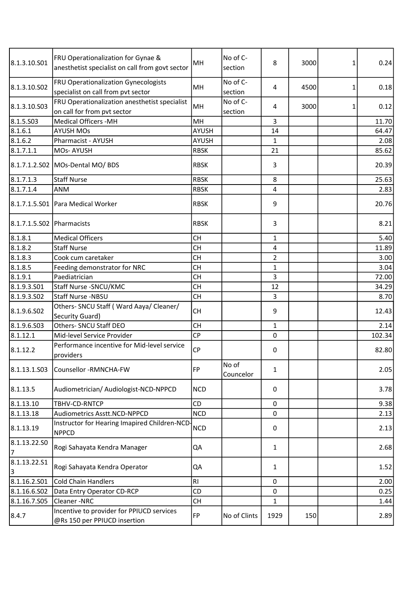| 8.1.3.10.501              | FRU Operationalization for Gynae &<br>anesthetist specialist on call from govt sector | MH             | No of C-<br>section | 8              | 3000 | $\mathbf{1}$ | 0.24   |
|---------------------------|---------------------------------------------------------------------------------------|----------------|---------------------|----------------|------|--------------|--------|
| 8.1.3.10.502              | FRU Operationalization Gynecologists<br>specialist on call from pvt sector            | MH             | No of C-<br>section | $\overline{4}$ | 4500 | $\mathbf{1}$ | 0.18   |
| 8.1.3.10.S03              | FRU Operationalization anesthetist specialist<br>on call for from pvt sector          | MH             | No of C-<br>section | 4              | 3000 | $\mathbf{1}$ | 0.12   |
| 8.1.5.503                 | <b>Medical Officers -MH</b>                                                           | MH             |                     | 3              |      |              | 11.70  |
| 8.1.6.1                   | <b>AYUSH MOs</b>                                                                      | AYUSH          |                     | 14             |      |              | 64.47  |
| 8.1.6.2                   | Pharmacist - AYUSH                                                                    | <b>AYUSH</b>   |                     | $\mathbf{1}$   |      |              | 2.08   |
| 8.1.7.1.1                 | MOs-AYUSH                                                                             | <b>RBSK</b>    |                     | 21             |      |              | 85.62  |
|                           | 8.1.7.1.2.S02   MOs-Dental MO/ BDS                                                    | <b>RBSK</b>    |                     | 3              |      |              | 20.39  |
| 8.1.7.1.3                 | <b>Staff Nurse</b>                                                                    | <b>RBSK</b>    |                     | 8              |      |              | 25.63  |
| 8.1.7.1.4                 | ANM                                                                                   | <b>RBSK</b>    |                     | 4              |      |              | 2.83   |
|                           | 8.1.7.1.5.S01 Para Medical Worker                                                     | <b>RBSK</b>    |                     | 9              |      |              | 20.76  |
| 8.1.7.1.5.S02 Pharmacists |                                                                                       | <b>RBSK</b>    |                     | 3              |      |              | 8.21   |
| 8.1.8.1                   | <b>Medical Officers</b>                                                               | <b>CH</b>      |                     | $\mathbf{1}$   |      |              | 5.40   |
| 8.1.8.2                   | <b>Staff Nurse</b>                                                                    | <b>CH</b>      |                     | 4              |      |              | 11.89  |
| 8.1.8.3                   | Cook cum caretaker                                                                    | <b>CH</b>      |                     | $\overline{2}$ |      |              | 3.00   |
| 8.1.8.5                   | Feeding demonstrator for NRC                                                          | <b>CH</b>      |                     | $\mathbf{1}$   |      |              | 3.04   |
| 8.1.9.1                   | Paediatrician                                                                         | <b>CH</b>      |                     | 3              |      |              | 72.00  |
| 8.1.9.3.S01               | Staff Nurse - SNCU/KMC                                                                | <b>CH</b>      |                     | 12             |      |              | 34.29  |
| 8.1.9.3.502               | Staff Nurse -NBSU                                                                     | CH             |                     | 3              |      |              | 8.70   |
| 8.1.9.6.502               | Others- SNCU Staff (Ward Aaya/ Cleaner/<br>Security Guard)                            | <b>CH</b>      |                     | 9              |      |              | 12.43  |
| 8.1.9.6.503               | Others- SNCU Staff DEO                                                                | <b>CH</b>      |                     | $\mathbf{1}$   |      |              | 2.14   |
| 8.1.12.1                  | Mid-level Service Provider                                                            | <b>CP</b>      |                     | $\mathbf 0$    |      |              | 102.34 |
| 8.1.12.2                  | Performance incentive for Mid-level service<br>providers                              | CP             |                     | 0              |      |              | 82.80  |
| 8.1.13.1.503              | Counsellor -RMNCHA-FW                                                                 | <b>FP</b>      | No of<br>Councelor  | $\mathbf{1}$   |      |              | 2.05   |
| 8.1.13.5                  | Audiometrician/ Audiologist-NCD-NPPCD                                                 | <b>NCD</b>     |                     | 0              |      |              | 3.78   |
| 8.1.13.10                 | TBHV-CD-RNTCP                                                                         | CD             |                     | $\mathbf 0$    |      |              | 9.38   |
| 8.1.13.18                 | Audiometrics Asstt.NCD-NPPCD                                                          | <b>NCD</b>     |                     | 0              |      |              | 2.13   |
| 8.1.13.19                 | Instructor for Hearing Imapired Children-NCD-<br><b>NPPCD</b>                         | <b>NCD</b>     |                     | 0              |      |              | 2.13   |
| 8.1.13.22.SO<br>7         | Rogi Sahayata Kendra Manager                                                          | QA             |                     | $\mathbf{1}$   |      |              | 2.68   |
| 8.1.13.22.S1<br>3         | Rogi Sahayata Kendra Operator                                                         | QA             |                     | $\mathbf{1}$   |      |              | 1.52   |
| 8.1.16.2.501              | <b>Cold Chain Handlers</b>                                                            | R <sub>1</sub> |                     | 0              |      |              | 2.00   |
| 8.1.16.6.502              | Data Entry Operator CD-RCP                                                            | CD             |                     | 0              |      |              | 0.25   |
| 8.1.16.7.S05              | Cleaner-NRC                                                                           | CH             |                     | 1              |      |              | 1.44   |
| 8.4.7                     | Incentive to provider for PPIUCD services<br>@Rs 150 per PPIUCD insertion             | FP             | No of Clints        | 1929           | 150  |              | 2.89   |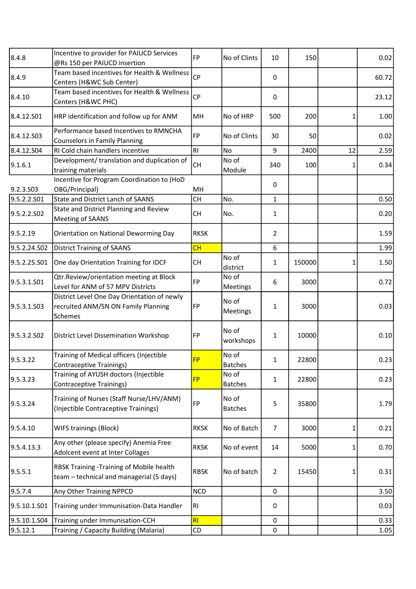| Incentive to provider for PAIUCD Services                                             | <b>FP</b>                                                                                                                                                                                                                                                                                                                 | No of Clints                                                                                     | 10                   | 150    |              | 0.02  |
|---------------------------------------------------------------------------------------|---------------------------------------------------------------------------------------------------------------------------------------------------------------------------------------------------------------------------------------------------------------------------------------------------------------------------|--------------------------------------------------------------------------------------------------|----------------------|--------|--------------|-------|
|                                                                                       | <b>CP</b>                                                                                                                                                                                                                                                                                                                 |                                                                                                  | 0                    |        |              | 60.72 |
|                                                                                       | CP                                                                                                                                                                                                                                                                                                                        |                                                                                                  | 0                    |        |              | 23.12 |
| HRP identification and follow up for ANM                                              | MH                                                                                                                                                                                                                                                                                                                        | No of HRP                                                                                        | 500                  | 200    | $\mathbf{1}$ | 1.00  |
| Performance based Incentives to RMNCHA                                                | <b>FP</b>                                                                                                                                                                                                                                                                                                                 | No of Clints                                                                                     | 30                   | 50     |              | 0.02  |
| RI Cold chain handlers incentive                                                      | R1                                                                                                                                                                                                                                                                                                                        | <b>No</b>                                                                                        | 9                    | 2400   | 12           | 2.59  |
| Development/ translation and duplication of<br>training materials                     | CH                                                                                                                                                                                                                                                                                                                        | No of<br>Module                                                                                  | 340                  | 100    | 1            | 0.34  |
| OBG/Principal)                                                                        | MH                                                                                                                                                                                                                                                                                                                        |                                                                                                  | 0                    |        |              |       |
| <b>State and District Lanch of SAANS</b>                                              | <b>CH</b>                                                                                                                                                                                                                                                                                                                 | No.                                                                                              | $\mathbf{1}$         |        |              | 0.50  |
| State and District Planning and Review<br><b>Meeting of SAANS</b>                     | <b>CH</b>                                                                                                                                                                                                                                                                                                                 | No.                                                                                              | $\mathbf{1}$         |        |              | 0.20  |
| Orientation on National Deworming Day                                                 | <b>RKSK</b>                                                                                                                                                                                                                                                                                                               |                                                                                                  | $\overline{2}$       |        |              | 1.59  |
|                                                                                       | CH                                                                                                                                                                                                                                                                                                                        |                                                                                                  | 6                    |        |              | 1.99  |
| One day Orientation Training for IDCF                                                 | <b>CH</b>                                                                                                                                                                                                                                                                                                                 | No of                                                                                            | $\mathbf{1}$         | 150000 | 1            | 1.50  |
| Qtr.Review/orientation meeting at Block                                               | FP                                                                                                                                                                                                                                                                                                                        | No of                                                                                            | 6                    | 3000   |              | 0.72  |
| District Level One Day Orientation of newly<br>recruited ANM/SN ON Family Planning    | FP                                                                                                                                                                                                                                                                                                                        | No of<br>Meetings                                                                                | 1                    | 3000   |              | 0.03  |
| <b>District Level Dissemination Workshop</b>                                          | FP                                                                                                                                                                                                                                                                                                                        | No of<br>workshops                                                                               | 1                    | 10000  |              | 0.10  |
| Training of Medical officers (Injectible<br><b>Contraceptive Trainings)</b>           | <b>FP</b>                                                                                                                                                                                                                                                                                                                 | No of<br><b>Batches</b>                                                                          | 1                    | 22800  |              | 0.23  |
| Training of AYUSH doctors (Injectible<br><b>Contraceptive Trainings)</b>              | <b>FP</b>                                                                                                                                                                                                                                                                                                                 | No of<br><b>Batches</b>                                                                          | $\mathbf{1}$         | 22800  |              | 0.23  |
| Training of Nurses (Staff Nurse/LHV/ANM)<br>(Injectible Contraceptive Trainings)      | FP                                                                                                                                                                                                                                                                                                                        | No of<br><b>Batches</b>                                                                          | 5                    | 35800  |              | 1.79  |
| <b>WIFS trainings (Block)</b>                                                         | <b>RKSK</b>                                                                                                                                                                                                                                                                                                               | No of Batch                                                                                      | $\overline{7}$       | 3000   | 1            | 0.21  |
| Any other (please specify) Anemia Free<br>Adolcent event at Inter Collages            | <b>RKSK</b>                                                                                                                                                                                                                                                                                                               | No of event                                                                                      | 14                   | 5000   | $\mathbf{1}$ | 0.70  |
| RBSK Training - Training of Mobile health<br>team - technical and managerial (5 days) | <b>RBSK</b>                                                                                                                                                                                                                                                                                                               | No of batch                                                                                      | $\overline{2}$       | 15450  | 1            | 0.31  |
|                                                                                       | <b>NCD</b>                                                                                                                                                                                                                                                                                                                |                                                                                                  | $\mathbf 0$          |        |              | 3.50  |
| Training under Immunisation-Data Handler                                              | R1                                                                                                                                                                                                                                                                                                                        |                                                                                                  | 0                    |        |              | 0.03  |
|                                                                                       |                                                                                                                                                                                                                                                                                                                           |                                                                                                  | $\mathbf{0}$         |        |              | 0.33  |
| Training / Capacity Building (Malaria)                                                | CD                                                                                                                                                                                                                                                                                                                        |                                                                                                  | $\pmb{0}$            |        |              | 1.05  |
|                                                                                       | @Rs 150 per PAIUCD insertion<br>Centers (H&WC Sub Center)<br>Centers (H&WC PHC)<br><b>Counselors in Family Planning</b><br>Incentive for Program Coordination to (HoD<br><b>District Training of SAANS</b><br>Level for ANM of 57 MPV Districts<br>Schemes<br>Any Other Training NPPCD<br>Training under Immunisation-CCH | Team based incentives for Health & Wellness<br>Team based incentives for Health & Wellness<br>RI | district<br>Meetings |        |              |       |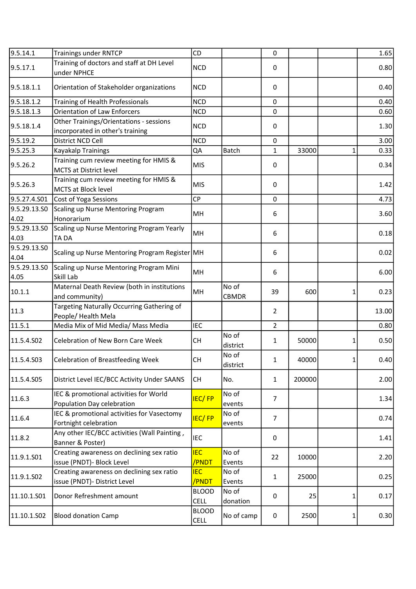| 9.5.14.1             | <b>Trainings under RNTCP</b>                                                | CD                          |                       | $\mathbf 0$    |        |              | 1.65  |
|----------------------|-----------------------------------------------------------------------------|-----------------------------|-----------------------|----------------|--------|--------------|-------|
| 9.5.17.1             | Training of doctors and staff at DH Level<br>under NPHCE                    | <b>NCD</b>                  |                       | 0              |        |              | 0.80  |
| 9.5.18.1.1           | Orientation of Stakeholder organizations                                    | <b>NCD</b>                  |                       | 0              |        |              | 0.40  |
| 9.5.18.1.2           | Training of Health Professionals                                            | <b>NCD</b>                  |                       | $\mathbf 0$    |        |              | 0.40  |
| 9.5.18.1.3           | <b>Orientation of Law Enforcers</b>                                         | <b>NCD</b>                  |                       | $\mathbf 0$    |        |              | 0.60  |
| 9.5.18.1.4           | Other Trainings/Orientations - sessions<br>incorporated in other's training | <b>NCD</b>                  |                       | 0              |        |              | 1.30  |
| 9.5.19.2             | District NCD Cell                                                           | <b>NCD</b>                  |                       | 0              |        |              | 3.00  |
| 9.5.25.3             | Kayakalp Trainings                                                          | QA                          | Batch                 | $\mathbf{1}$   | 33000  | $\mathbf{1}$ | 0.33  |
| 9.5.26.2             | Training cum review meeting for HMIS &<br><b>MCTS at District level</b>     | <b>MIS</b>                  |                       | 0              |        |              | 0.34  |
| 9.5.26.3             | Training cum review meeting for HMIS &<br><b>MCTS at Block level</b>        | <b>MIS</b>                  |                       | 0              |        |              | 1.42  |
| 9.5.27.4.501         | Cost of Yoga Sessions                                                       | CP                          |                       | 0              |        |              | 4.73  |
| 9.5.29.13.SO<br>4.02 | Scaling up Nurse Mentoring Program<br>Honorarium                            | MH                          |                       | 6              |        |              | 3.60  |
| 9.5.29.13.SO<br>4.03 | Scaling up Nurse Mentoring Program Yearly<br>TA DA                          | MH                          |                       | 6              |        |              | 0.18  |
| 9.5.29.13.50<br>4.04 | Scaling up Nurse Mentoring Program Register MH                              |                             |                       | 6              |        |              | 0.02  |
| 9.5.29.13.SO<br>4.05 | Scaling up Nurse Mentoring Program Mini<br>Skill Lab                        | MH                          |                       | 6              |        |              | 6.00  |
| 10.1.1               | Maternal Death Review (both in institutions<br>and community)               | MH                          | No of<br><b>CBMDR</b> | 39             | 600    | $\mathbf{1}$ | 0.23  |
| 11.3                 | Targeting Naturally Occurring Gathering of<br>People/ Health Mela           |                             |                       | $\overline{2}$ |        |              | 13.00 |
| 11.5.1               | Media Mix of Mid Media/ Mass Media                                          | <b>IEC</b>                  |                       | $\overline{2}$ |        |              | 0.80  |
| 11.5.4.S02           | <b>Celebration of New Born Care Week</b>                                    | <b>CH</b>                   | No of<br>district     | $\mathbf{1}$   | 50000  | $\mathbf{1}$ | 0.50  |
| 11.5.4.S03           | Celebration of Breastfeeding Week                                           | CH                          | No of<br>district     | 1              | 40000  | $\mathbf{1}$ | 0.40  |
| 11.5.4.S05           | District Level IEC/BCC Activity Under SAANS                                 | <b>CH</b>                   | No.                   | $\mathbf{1}$   | 200000 |              | 2.00  |
| 11.6.3               | IEC & promotional activities for World<br>Population Day celebration        | <b>IEC/FP</b>               | No of<br>events       | $\overline{7}$ |        |              | 1.34  |
| 11.6.4               | IEC & promotional activities for Vasectomy<br>Fortnight celebration         | <b>IEC/FP</b>               | No of<br>events       | $\overline{7}$ |        |              | 0.74  |
| 11.8.2               | Any other IEC/BCC activities (Wall Painting,<br>Banner & Poster)            | <b>IEC</b>                  |                       | 0              |        |              | 1.41  |
| 11.9.1.S01           | Creating awareness on declining sex ratio<br>issue (PNDT)- Block Level      | <b>IEC</b><br>/PNDT         | No of<br>Events       | 22             | 10000  |              | 2.20  |
| 11.9.1.SO2           | Creating awareness on declining sex ratio<br>issue (PNDT)- District Level   | <b>IEC</b><br>/PNDT         | No of<br>Events       | $\mathbf{1}$   | 25000  |              | 0.25  |
| 11.10.1.501          | Donor Refreshment amount                                                    | <b>BLOOD</b><br><b>CELL</b> | No of<br>donation     | 0              | 25     | 1            | 0.17  |
| 11.10.1.S02          | <b>Blood donation Camp</b>                                                  | <b>BLOOD</b><br><b>CELL</b> | No of camp            | 0              | 2500   | 1            | 0.30  |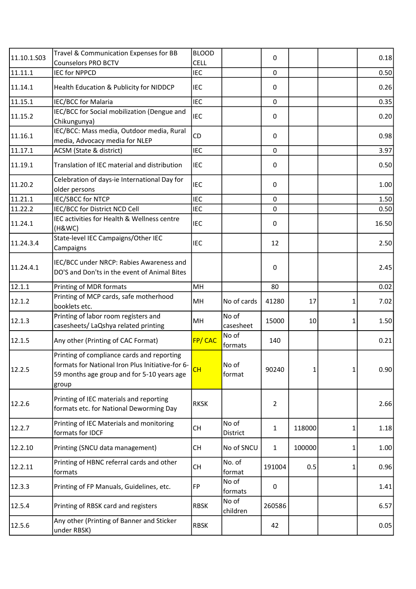| 11.10.1.503 | Travel & Communication Expenses for BB<br><b>Counselors PRO BCTV</b>                                                                                  | <b>BLOOD</b><br><b>CELL</b> |                    | 0              |        |              | 0.18  |
|-------------|-------------------------------------------------------------------------------------------------------------------------------------------------------|-----------------------------|--------------------|----------------|--------|--------------|-------|
| 11.11.1     | <b>IEC for NPPCD</b>                                                                                                                                  | <b>IEC</b>                  |                    | $\mathbf 0$    |        |              | 0.50  |
| 11.14.1     | Health Education & Publicity for NIDDCP                                                                                                               | <b>IEC</b>                  |                    | 0              |        |              | 0.26  |
| 11.15.1     | IEC/BCC for Malaria                                                                                                                                   | <b>IEC</b>                  |                    | $\mathbf 0$    |        |              | 0.35  |
| 11.15.2     | IEC/BCC for Social mobilization (Dengue and<br>Chikungunya)                                                                                           | <b>IEC</b>                  |                    | 0              |        |              | 0.20  |
| 11.16.1     | IEC/BCC: Mass media, Outdoor media, Rural<br>media, Advocacy media for NLEP                                                                           | <b>CD</b>                   |                    | 0              |        |              | 0.98  |
| 11.17.1     | ACSM (State & district)                                                                                                                               | <b>IEC</b>                  |                    | $\mathbf 0$    |        |              | 3.97  |
| 11.19.1     | Translation of IEC material and distribution                                                                                                          | <b>IEC</b>                  |                    | 0              |        |              | 0.50  |
| 11.20.2     | Celebration of days-ie International Day for<br>older persons                                                                                         | <b>IEC</b>                  |                    | 0              |        |              | 1.00  |
| 11.21.1     | <b>IEC/SBCC for NTCP</b>                                                                                                                              | <b>IEC</b>                  |                    | 0              |        |              | 1.50  |
| 11.22.2     | IEC/BCC for District NCD Cell                                                                                                                         | <b>IEC</b>                  |                    | $\pmb{0}$      |        |              | 0.50  |
| 11.24.1     | IEC activities for Health & Wellness centre<br>(H&WC)                                                                                                 | <b>IEC</b>                  |                    | 0              |        |              | 16.50 |
| 11.24.3.4   | State-level IEC Campaigns/Other IEC<br>Campaigns                                                                                                      | <b>IEC</b>                  |                    | 12             |        |              | 2.50  |
| 11.24.4.1   | IEC/BCC under NRCP: Rabies Awareness and<br>DO'S and Don'ts in the event of Animal Bites                                                              |                             |                    | 0              |        |              | 2.45  |
| 12.1.1      | Printing of MDR formats                                                                                                                               | MH                          |                    | 80             |        |              | 0.02  |
| 12.1.2      | Printing of MCP cards, safe motherhood<br>booklets etc.                                                                                               | MH                          | No of cards        | 41280          | 17     | 1            | 7.02  |
| 12.1.3      | Printing of labor room registers and<br>casesheets/ LaQshya related printing                                                                          | MH                          | No of<br>casesheet | 15000          | 10     | 1            | 1.50  |
| 12.1.5      | Any other (Printing of CAC Format)                                                                                                                    | <b>FP/CAC</b>               | No of<br>formats   | 140            |        |              | 0.21  |
| 12.2.5      | Printing of compliance cards and reporting<br>formats for National Iron Plus Initiative-for 6-<br>59 months age group and for 5-10 years age<br>group | CH                          | No of<br>format    | 90240          | 1      | $\mathbf{1}$ | 0.90  |
| 12.2.6      | Printing of IEC materials and reporting<br>formats etc. for National Deworming Day                                                                    | <b>RKSK</b>                 |                    | $\overline{2}$ |        |              | 2.66  |
| 12.2.7      | Printing of IEC Materials and monitoring<br>formats for IDCF                                                                                          | CH                          | No of<br>District  | $\mathbf{1}$   | 118000 | $\mathbf{1}$ | 1.18  |
| 12.2.10     | Printing (SNCU data management)                                                                                                                       | <b>CH</b>                   | No of SNCU         | $\mathbf{1}$   | 100000 | $\mathbf{1}$ | 1.00  |
| 12.2.11     | Printing of HBNC referral cards and other<br>formats                                                                                                  | <b>CH</b>                   | No. of<br>format   | 191004         | 0.5    | 1            | 0.96  |
| 12.3.3      | Printing of FP Manuals, Guidelines, etc.                                                                                                              | FP                          | No of<br>formats   | 0              |        |              | 1.41  |
| 12.5.4      | Printing of RBSK card and registers                                                                                                                   | <b>RBSK</b>                 | No of<br>children  | 260586         |        |              | 6.57  |
| 12.5.6      | Any other (Printing of Banner and Sticker<br>under RBSK)                                                                                              | <b>RBSK</b>                 |                    | 42             |        |              | 0.05  |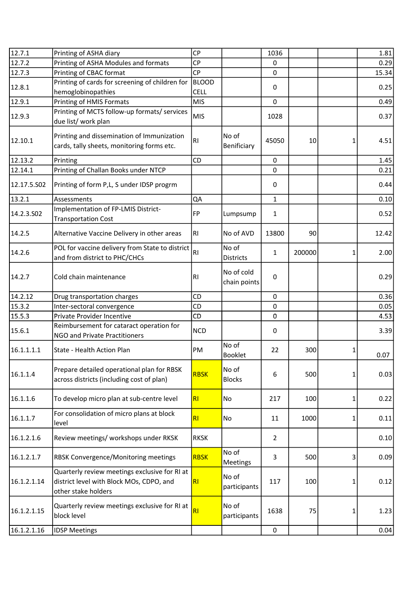| 12.7.1      | Printing of ASHA diary                                                                                           | <b>CP</b>                   |                            | 1036           |        |              | 1.81  |
|-------------|------------------------------------------------------------------------------------------------------------------|-----------------------------|----------------------------|----------------|--------|--------------|-------|
| 12.7.2      | Printing of ASHA Modules and formats                                                                             | <b>CP</b>                   |                            | 0              |        |              | 0.29  |
| 12.7.3      | Printing of CBAC format                                                                                          | CP                          |                            | $\mathbf 0$    |        |              | 15.34 |
| 12.8.1      | Printing of cards for screening of children for<br>hemoglobinopathies                                            | <b>BLOOD</b><br><b>CELL</b> |                            | 0              |        |              | 0.25  |
| 12.9.1      | Printing of HMIS Formats                                                                                         | <b>MIS</b>                  |                            | $\mathbf 0$    |        |              | 0.49  |
| 12.9.3      | Printing of MCTS follow-up formats/ services<br>due list/ work plan                                              | <b>MIS</b>                  |                            | 1028           |        |              | 0.37  |
| 12.10.1     | Printing and dissemination of Immunization<br>cards, tally sheets, monitoring forms etc.                         | RI                          | No of<br>Benificiary       | 45050          | 10     | 1            | 4.51  |
| 12.13.2     | Printing                                                                                                         | CD                          |                            | $\mathbf 0$    |        |              | 1.45  |
| 12.14.1     | Printing of Challan Books under NTCP                                                                             |                             |                            | 0              |        |              | 0.21  |
| 12.17.5.502 | Printing of form P,L, S under IDSP progrm                                                                        |                             |                            | 0              |        |              | 0.44  |
| 13.2.1      | Assessments                                                                                                      | QA                          |                            | $\mathbf{1}$   |        |              | 0.10  |
| 14.2.3.S02  | Implementation of FP-LMIS District-<br><b>Transportation Cost</b>                                                | <b>FP</b>                   | Lumpsump                   | 1              |        |              | 0.52  |
| 14.2.5      | Alternative Vaccine Delivery in other areas                                                                      | RI.                         | No of AVD                  | 13800          | 90     |              | 12.42 |
| 14.2.6      | POL for vaccine delivery from State to district<br>and from district to PHC/CHCs                                 | RI                          | No of<br><b>Districts</b>  | $\mathbf{1}$   | 200000 | 1            | 2.00  |
| 14.2.7      | Cold chain maintenance                                                                                           | R1                          | No of cold<br>chain points | $\mathbf 0$    |        |              | 0.29  |
| 14.2.12     | Drug transportation charges                                                                                      | CD                          |                            | 0              |        |              | 0.36  |
| 15.3.2      | Inter-sectoral convergence                                                                                       | CD                          |                            | $\Omega$       |        |              | 0.05  |
| 15.5.3      | Private Provider Incentive                                                                                       | CD                          |                            | 0              |        |              | 4.53  |
| 15.6.1      | Reimbursement for cataract operation for<br><b>NGO and Private Practitioners</b>                                 | <b>NCD</b>                  |                            | 0              |        |              | 3.39  |
| 16.1.1.1.1  | State - Health Action Plan                                                                                       | PM                          | No of<br><b>Booklet</b>    | 22             | 300    |              | 0.07  |
| 16.1.1.4    | Prepare detailed operational plan for RBSK<br>across districts (including cost of plan)                          | <b>RBSK</b>                 | No of<br><b>Blocks</b>     | 6              | 500    | $\mathbf{1}$ | 0.03  |
| 16.1.1.6    | To develop micro plan at sub-centre level                                                                        | <b>RI</b>                   | No                         | 217            | 100    | $\mathbf{1}$ | 0.22  |
| 16.1.1.7    | For consolidation of micro plans at block<br>level                                                               | R1                          | No                         | 11             | 1000   | $\mathbf{1}$ | 0.11  |
| 16.1.2.1.6  | Review meetings/ workshops under RKSK                                                                            | <b>RKSK</b>                 |                            | $\overline{2}$ |        |              | 0.10  |
| 16.1.2.1.7  | RBSK Convergence/Monitoring meetings                                                                             | RBSK                        | No of<br>Meetings          | 3              | 500    | 3            | 0.09  |
| 16.1.2.1.14 | Quarterly review meetings exclusive for RI at<br>district level with Block MOs, CDPO, and<br>other stake holders | R                           | No of<br>participants      | 117            | 100    | 1            | 0.12  |
| 16.1.2.1.15 | Quarterly review meetings exclusive for RI at<br>block level                                                     | R1                          | No of<br>participants      | 1638           | 75     | 1            | 1.23  |
| 16.1.2.1.16 | <b>IDSP Meetings</b>                                                                                             |                             |                            | $\mathbf 0$    |        |              | 0.04  |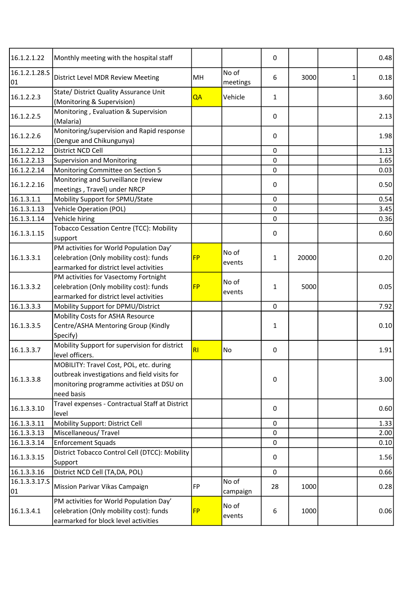| 16.1.2.1.22         | Monthly meeting with the hospital staff                                                                                                            |           |                   | 0            |       | 0.48 |
|---------------------|----------------------------------------------------------------------------------------------------------------------------------------------------|-----------|-------------------|--------------|-------|------|
| 16.1.2.1.28.5<br>01 | District Level MDR Review Meeting                                                                                                                  | MН        | No of<br>meetings | 6            | 3000  | 0.18 |
| 16.1.2.2.3          | State/ District Quality Assurance Unit<br>(Monitoring & Supervision)                                                                               | QA        | Vehicle           | $\mathbf{1}$ |       | 3.60 |
| 16.1.2.2.5          | Monitoring, Evaluation & Supervision<br>(Malaria)                                                                                                  |           |                   | 0            |       | 2.13 |
| 16.1.2.2.6          | Monitoring/supervision and Rapid response<br>(Dengue and Chikungunya)                                                                              |           |                   | $\mathsf 0$  |       | 1.98 |
| 16.1.2.2.12         | District NCD Cell                                                                                                                                  |           |                   | $\mathbf 0$  |       | 1.13 |
| 16.1.2.2.13         | <b>Supervision and Monitoring</b>                                                                                                                  |           |                   | 0            |       | 1.65 |
| 16.1.2.2.14         | Monitoring Committee on Section 5                                                                                                                  |           |                   | 0            |       | 0.03 |
| 16.1.2.2.16         | Monitoring and Surveillance (review<br>meetings, Travel) under NRCP                                                                                |           |                   | 0            |       | 0.50 |
| 16.1.3.1.1          | Mobility Support for SPMU/State                                                                                                                    |           |                   | 0            |       | 0.54 |
| 16.1.3.1.13         | <b>Vehicle Operation (POL)</b>                                                                                                                     |           |                   | $\pmb{0}$    |       | 3.45 |
| 16.1.3.1.14         | Vehicle hiring                                                                                                                                     |           |                   | 0            |       | 0.36 |
| 16.1.3.1.15         | <b>Tobacco Cessation Centre (TCC): Mobility</b><br>support                                                                                         |           |                   | 0            |       | 0.60 |
| 16.1.3.3.1          | PM activities for World Population Day'<br>celebration (Only mobility cost): funds<br>earmarked for district level activities                      | <b>FP</b> | No of<br>events   | $\mathbf{1}$ | 20000 | 0.20 |
| 16.1.3.3.2          | PM activities for Vasectomy Fortnight<br>celebration (Only mobility cost): funds<br>earmarked for district level activities                        | <b>FP</b> | No of<br>events   | $\mathbf{1}$ | 5000  | 0.05 |
| 16.1.3.3.3          | Mobility Support for DPMU/District                                                                                                                 |           |                   | $\mathbf 0$  |       | 7.92 |
| 16.1.3.3.5          | Mobility Costs for ASHA Resource<br>Centre/ASHA Mentoring Group (Kindly<br>Specify)                                                                |           |                   | $\mathbf{1}$ |       | 0.10 |
| 16.1.3.3.7          | Mobility Support for supervision for district<br>level officers.                                                                                   | RI        | No                | 0            |       | 1.91 |
| 16.1.3.3.8          | MOBILITY: Travel Cost, POL, etc. during<br>outbreak investigations and field visits for<br>monitoring programme activities at DSU on<br>need basis |           |                   | $\mathsf 0$  |       | 3.00 |
| 16.1.3.3.10         | Travel expenses - Contractual Staff at District<br>level                                                                                           |           |                   | 0            |       | 0.60 |
| 16.1.3.3.11         | Mobility Support: District Cell                                                                                                                    |           |                   | 0            |       | 1.33 |
| 16.1.3.3.13         | Miscellaneous/ Travel                                                                                                                              |           |                   | 0            |       | 2.00 |
| 16.1.3.3.14         | <b>Enforcement Squads</b>                                                                                                                          |           |                   | 0            |       | 0.10 |
| 16.1.3.3.15         | District Tobacco Control Cell (DTCC): Mobility<br>Support                                                                                          |           |                   | 0            |       | 1.56 |
| 16.1.3.3.16         | District NCD Cell (TA,DA, POL)                                                                                                                     |           |                   | 0            |       | 0.66 |
| 16.1.3.3.17.5<br>01 | Mission Parivar Vikas Campaign                                                                                                                     | <b>FP</b> | No of<br>campaign | 28           | 1000  | 0.28 |
| 16.1.3.4.1          | PM activities for World Population Day'<br>celebration (Only mobility cost): funds<br>earmarked for block level activities                         | <b>FP</b> | No of<br>events   | 6            | 1000  | 0.06 |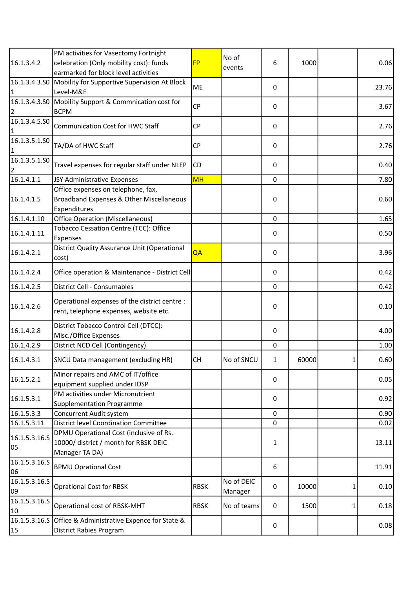| 16.1.3.4.2                      | PM activities for Vasectomy Fortnight<br>celebration (Only mobility cost): funds<br>earmarked for block level activities | <b>FP</b>   | No of<br>events       | 6            | 1000  |   | 0.06  |
|---------------------------------|--------------------------------------------------------------------------------------------------------------------------|-------------|-----------------------|--------------|-------|---|-------|
| 16.1.3.4.3.50<br>$\mathbf{1}$   | Mobility for Supportive Supervision At Block<br>Level-M&E                                                                | ME          |                       | 0            |       |   | 23.76 |
| $\overline{2}$                  | 16.1.3.4.3.50 Mobility Support & Commnication cost for<br><b>BCPM</b>                                                    | <b>CP</b>   |                       | 0            |       |   | 3.67  |
| 16.1.3.4.5.50<br>$\mathbf{1}$   | <b>Communication Cost for HWC Staff</b>                                                                                  | <b>CP</b>   |                       | 0            |       |   | 2.76  |
| 16.1.3.5.1.50<br>$\mathbf{1}$   | TA/DA of HWC Staff                                                                                                       | CP          |                       | 0            |       |   | 2.76  |
| 16.1.3.5.1.50<br>$\overline{2}$ | Travel expenses for regular staff under NLEP                                                                             | CD          |                       | 0            |       |   | 0.40  |
| 16.1.4.1.1                      | JSY Administrative Expenses                                                                                              | <b>MH</b>   |                       | 0            |       |   | 7.80  |
| 16.1.4.1.5                      | Office expenses on telephone, fax,<br>Broadband Expenses & Other Miscellaneous<br>Expenditures                           |             |                       | 0            |       |   | 0.60  |
| 16.1.4.1.10                     | <b>Office Operation (Miscellaneous)</b>                                                                                  |             |                       | $\mathbf 0$  |       |   | 1.65  |
| 16.1.4.1.11                     | Tobacco Cessation Centre (TCC): Office<br>Expenses                                                                       |             |                       | 0            |       |   | 0.50  |
| 16.1.4.2.1                      | District Quality Assurance Unit (Operational<br>cost)                                                                    | QA          |                       | 0            |       |   | 3.96  |
| 16.1.4.2.4                      | Office operation & Maintenance - District Cell                                                                           |             |                       | 0            |       |   | 0.42  |
| 16.1.4.2.5                      | District Cell - Consumables                                                                                              |             |                       | 0            |       |   | 0.42  |
| 16.1.4.2.6                      | Operational expenses of the district centre :<br>rent, telephone expenses, website etc.                                  |             |                       | 0            |       |   | 0.10  |
| 16.1.4.2.8                      | District Tobacco Control Cell (DTCC):<br>Misc./Office Expenses                                                           |             |                       | 0            |       |   | 4.00  |
| 16.1.4.2.9                      | District NCD Cell (Contingency)                                                                                          |             |                       | 0            |       |   | 1.00  |
| 16.1.4.3.1                      | SNCU Data management (excluding HR)                                                                                      | lсн         | No of SNCU            | 1            | 60000 | 1 | 0.60  |
| 16.1.5.2.1                      | Minor repairs and AMC of IT/office<br>equipment supplied under IDSP                                                      |             |                       | 0            |       |   | 0.05  |
| 16.1.5.3.1                      | PM activities under Micronutrient<br><b>Supplementation Programme</b>                                                    |             |                       | 0            |       |   | 0.92  |
| 16.1.5.3.3                      | Concurrent Audit system                                                                                                  |             |                       | 0            |       |   | 0.90  |
| 16.1.5.3.11                     | <b>District level Coordination Committee</b>                                                                             |             |                       | 0            |       |   | 0.02  |
| 16.1.5.3.16.5<br>05             | DPMU Operational Cost (inclusive of Rs.<br>10000/ district / month for RBSK DEIC<br>Manager TA DA)                       |             |                       | $\mathbf{1}$ |       |   | 13.11 |
| 16.1.5.3.16.5<br>06             | <b>BPMU Oprational Cost</b>                                                                                              |             |                       | 6            |       |   | 11.91 |
| 16.1.5.3.16.S<br>09             | <b>Oprational Cost for RBSK</b>                                                                                          | <b>RBSK</b> | No of DEIC<br>Manager | 0            | 10000 |   | 0.10  |
| 16.1.5.3.16.5<br>10             | Operational cost of RBSK-MHT                                                                                             | <b>RBSK</b> | No of teams           | 0            | 1500  |   | 0.18  |
| 15                              | 16.1.5.3.16.S Office & Administrative Expence for State &<br>District Rabies Program                                     |             |                       | $\pmb{0}$    |       |   | 0.08  |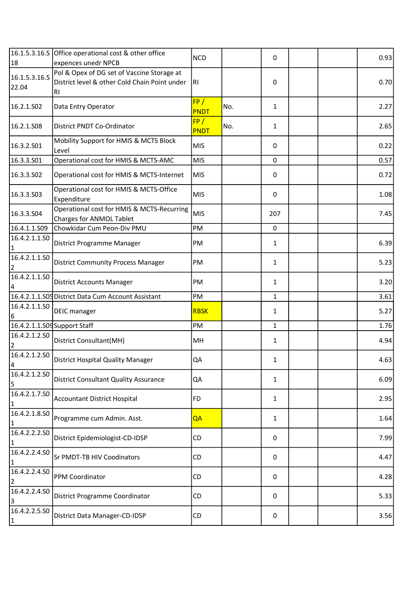|                                 | 16.1.5.3.16.S Office operational cost & other office                                              | <b>NCD</b>         |     | 0            |  | 0.93 |
|---------------------------------|---------------------------------------------------------------------------------------------------|--------------------|-----|--------------|--|------|
| 18                              | expences unedr NPCB                                                                               |                    |     |              |  |      |
| 16.1.5.3.16.5<br>22.04          | Pol & Opex of DG set of Vaccine Storage at<br>District level & other Cold Chain Point under<br>RI | IRI.               |     | 0            |  | 0.70 |
| 16.2.1.S02                      | Data Entry Operator                                                                               | FP/<br><b>PNDT</b> | No. | $\mathbf{1}$ |  | 2.27 |
| 16.2.1.S08                      | <b>District PNDT Co-Ordinator</b>                                                                 | FP/<br><b>PNDT</b> | No. | $\mathbf{1}$ |  | 2.65 |
| 16.3.2.501                      | Mobility Support for HMIS & MCTS Block<br>Level                                                   | <b>MIS</b>         |     | 0            |  | 0.22 |
| 16.3.3.S01                      | Operational cost for HMIS & MCTS-AMC                                                              | <b>MIS</b>         |     | $\mathbf 0$  |  | 0.57 |
| 16.3.3.S02                      | Operational cost for HMIS & MCTS-Internet                                                         | <b>MIS</b>         |     | 0            |  | 0.72 |
| 16.3.3.503                      | Operational cost for HMIS & MCTS-Office<br>Expenditure                                            | <b>MIS</b>         |     | 0            |  | 1.08 |
| 16.3.3.S04                      | Operational cost for HMIS & MCTS-Recurring<br>Charges for ANMOL Tablet                            | <b>MIS</b>         |     | 207          |  | 7.45 |
| 16.4.1.1.S09                    | Chowkidar Cum Peon-Div PMU                                                                        | PM                 |     | $\mathbf 0$  |  |      |
| 16.4.2.1.1.50<br>$\mathbf{1}$   | District Programme Manager                                                                        | PM                 |     | $\mathbf{1}$ |  | 6.39 |
| 16.4.2.1.1.50<br>$\overline{2}$ | <b>District Community Process Manager</b>                                                         | PM                 |     | $\mathbf{1}$ |  | 5.23 |
| 16.4.2.1.1.50<br>4              | <b>District Accounts Manager</b>                                                                  | PM                 |     | $\mathbf{1}$ |  | 3.20 |
|                                 | 16.4.2.1.1.S05 District Data Cum Account Assistant                                                | PM                 |     | $\mathbf{1}$ |  | 3.61 |
| 16.4.2.1.1.SO                   |                                                                                                   |                    |     |              |  |      |
| 6                               | DEIC manager                                                                                      | <b>RBSK</b>        |     | $\mathbf{1}$ |  | 5.27 |
|                                 | 16.4.2.1.1.S09 Support Staff                                                                      | PM                 |     | $\mathbf{1}$ |  | 1.76 |
| 16.4.2.1.2.50<br>2              | District Consultant(MH)                                                                           | MH                 |     | $\mathbf{1}$ |  | 4.94 |
| 16.4.2.1.2.50<br>4              | District Hospital Quality Manager                                                                 | QA                 |     | 1            |  | 4.63 |
| 16.4.2.1.2.50<br>5              | <b>District Consultant Quality Assurance</b>                                                      | QA                 |     | $\mathbf{1}$ |  | 6.09 |
| 16.4.2.1.7.50<br>$\mathbf{1}$   | <b>Accountant District Hospital</b>                                                               | <b>FD</b>          |     | $\mathbf{1}$ |  | 2.95 |
| 16.4.2.1.8.50<br>$\mathbf{1}$   | Programme cum Admin. Asst.                                                                        | QA                 |     | $\mathbf{1}$ |  | 1.64 |
| 16.4.2.2.2.50<br>1              | District Epidemiologist-CD-IDSP                                                                   | CD                 |     | 0            |  | 7.99 |
| 16.4.2.2.4.50<br>$\mathbf{1}$   | Sr PMDT-TB HIV Coodinators                                                                        | CD                 |     | 0            |  | 4.47 |
| 16.4.2.2.4.50<br>$\overline{2}$ | PPM Coordinator                                                                                   | CD                 |     | 0            |  | 4.28 |
| 16.4.2.2.4.50<br>3              | District Programme Coordinator                                                                    | CD                 |     | 0            |  | 5.33 |
| 16.4.2.2.5.50<br>$\mathbf{1}$   | District Data Manager-CD-IDSP                                                                     | CD                 |     | 0            |  | 3.56 |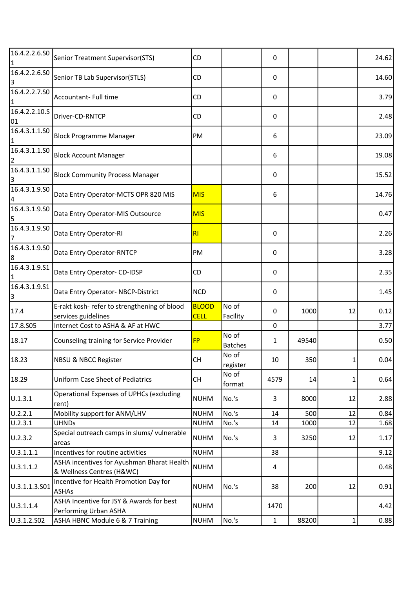| 16.4.2.2.6.50<br>1              | Senior Treatment Supervisor(STS)                                        | CD                          |                         | 0            |       |              | 24.62 |
|---------------------------------|-------------------------------------------------------------------------|-----------------------------|-------------------------|--------------|-------|--------------|-------|
| 16.4.2.2.6.50<br>3              | Senior TB Lab Supervisor(STLS)                                          | CD                          |                         | 0            |       |              | 14.60 |
| 16.4.2.2.7.50<br>$\mathbf{1}$   | Accountant- Full time                                                   | CD                          |                         | 0            |       |              | 3.79  |
| 16.4.2.2.10.5<br>01             | Driver-CD-RNTCP                                                         | CD                          |                         | 0            |       |              | 2.48  |
| 16.4.3.1.1.50<br>$\mathbf{1}$   | <b>Block Programme Manager</b>                                          | PM                          |                         | 6            |       |              | 23.09 |
| 16.4.3.1.1.50<br>$\overline{a}$ | <b>Block Account Manager</b>                                            |                             |                         | 6            |       |              | 19.08 |
| 16.4.3.1.1.50<br>3              | <b>Block Community Process Manager</b>                                  |                             |                         | 0            |       |              | 15.52 |
| 16.4.3.1.9.50<br>4              | Data Entry Operator-MCTS OPR 820 MIS                                    | <b>MIS</b>                  |                         | 6            |       |              | 14.76 |
| 16.4.3.1.9.50<br>5              | Data Entry Operator-MIS Outsource                                       | <b>MIS</b>                  |                         |              |       |              | 0.47  |
| 16.4.3.1.9.50<br>7              | Data Entry Operator-RI                                                  | RI                          |                         | 0            |       |              | 2.26  |
| 16.4.3.1.9.50<br>8              | Data Entry Operator-RNTCP                                               | PM                          |                         | 0            |       |              | 3.28  |
| 16.4.3.1.9.51<br>$\mathbf{1}$   | Data Entry Operator- CD-IDSP                                            | CD                          |                         | 0            |       |              | 2.35  |
| 16.4.3.1.9.51<br>3              | Data Entry Operator- NBCP-District                                      | <b>NCD</b>                  |                         | 0            |       |              | 1.45  |
| 17.4                            | E-rakt kosh- refer to strengthening of blood<br>services guidelines     | <b>BLOOD</b><br><b>CELL</b> | No of<br>Facility       | 0            | 1000  | 12           | 0.12  |
| 17.8.505                        | Internet Cost to ASHA & AF at HWC                                       |                             |                         | 0            |       |              | 3.77  |
| 18.17                           | Counseling training for Service Provider                                | <b>FP</b>                   | No of<br><b>Batches</b> | $\mathbf{1}$ | 49540 |              | 0.50  |
| 18.23                           | <b>NBSU &amp; NBCC Register</b>                                         | CH                          | No of<br>register       | 10           | 350   | $1\vert$     | 0.04  |
| 18.29                           | <b>Uniform Case Sheet of Pediatrics</b>                                 | <b>CH</b>                   | No of<br>format         | 4579         | 14    | 1            | 0.64  |
| U.1.3.1                         | <b>Operational Expenses of UPHCs (excluding</b><br>rent)                | <b>NUHM</b>                 | No.'s                   | 3            | 8000  | 12           | 2.88  |
| U.2.2.1                         | Mobility support for ANM/LHV                                            | <b>NUHM</b>                 | No.'s                   | 14           | 500   | 12           | 0.84  |
| U.2.3.1                         | <b>UHNDs</b>                                                            | <b>NUHM</b>                 | No.'s                   | 14           | 1000  | 12           | 1.68  |
| U.2.3.2                         | Special outreach camps in slums/ vulnerable<br>areas                    | <b>NUHM</b>                 | No.'s                   | 3            | 3250  | 12           | 1.17  |
| U.3.1.1.1                       | Incentives for routine activities                                       | <b>NUHM</b>                 |                         | 38           |       |              | 9.12  |
| U.3.1.1.2                       | ASHA incentives for Ayushman Bharat Health<br>& Wellness Centres (H&WC) | <b>NUHM</b>                 |                         | 4            |       |              | 0.48  |
| U.3.1.1.3.S01                   | Incentive for Health Promotion Day for<br>ASHAs                         | <b>NUHM</b>                 | No.'s                   | 38           | 200   | 12           | 0.91  |
| U.3.1.1.4                       | ASHA Incentive for JSY & Awards for best<br>Performing Urban ASHA       | <b>NUHM</b>                 |                         | 1470         |       |              | 4.42  |
| U.3.1.2.S02                     | ASHA HBNC Module 6 & 7 Training                                         | <b>NUHM</b>                 | No.'s                   | $\mathbf{1}$ | 88200 | $\mathbf{1}$ | 0.88  |